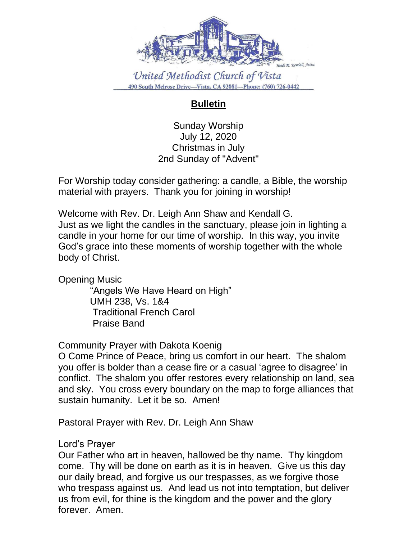

## **Bulletin**

Sunday Worship July 12, 2020 Christmas in July 2nd Sunday of "Advent"

For Worship today consider gathering: a candle, a Bible, the worship material with prayers. Thank you for joining in worship!

Welcome with Rev. Dr. Leigh Ann Shaw and Kendall G. Just as we light the candles in the sanctuary, please join in lighting a candle in your home for our time of worship. In this way, you invite God's grace into these moments of worship together with the whole body of Christ.

Opening Music

 "Angels We Have Heard on High" UMH 238, Vs. 1&4 Traditional French Carol Praise Band

Community Prayer with Dakota Koenig

O Come Prince of Peace, bring us comfort in our heart. The shalom you offer is bolder than a cease fire or a casual 'agree to disagree' in conflict. The shalom you offer restores every relationship on land, sea and sky. You cross every boundary on the map to forge alliances that sustain humanity. Let it be so. Amen!

Pastoral Prayer with Rev. Dr. Leigh Ann Shaw

Lord's Prayer

Our Father who art in heaven, hallowed be thy name. Thy kingdom come. Thy will be done on earth as it is in heaven. Give us this day our daily bread, and forgive us our trespasses, as we forgive those who trespass against us. And lead us not into temptation, but deliver us from evil, for thine is the kingdom and the power and the glory forever. Amen.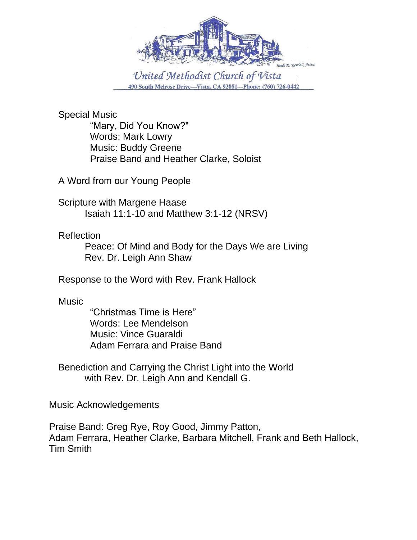

Special Music "Mary, Did You Know?" Words: Mark Lowry Music: Buddy Greene Praise Band and Heather Clarke, Soloist

A Word from our Young People

Scripture with Margene Haase Isaiah 11:1-10 and Matthew 3:1-12 (NRSV)

Reflection

Peace: Of Mind and Body for the Days We are Living Rev. Dr. Leigh Ann Shaw

Response to the Word with Rev. Frank Hallock

**Music** 

"Christmas Time is Here" Words: Lee Mendelson Music: Vince Guaraldi Adam Ferrara and Praise Band

Benediction and Carrying the Christ Light into the World with Rev. Dr. Leigh Ann and Kendall G.

Music Acknowledgements

Praise Band: Greg Rye, Roy Good, Jimmy Patton, Adam Ferrara, Heather Clarke, Barbara Mitchell, Frank and Beth Hallock, Tim Smith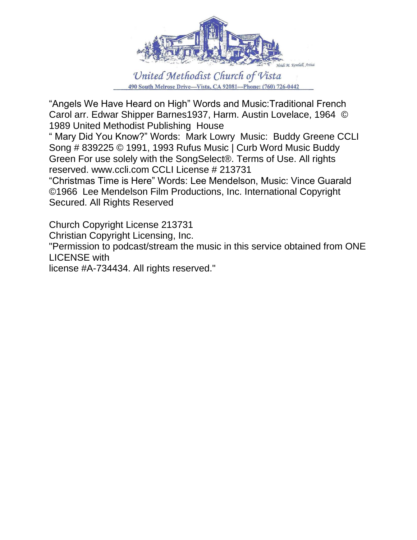

"Angels We Have Heard on High" Words and Music:Traditional French Carol arr. Edwar Shipper Barnes1937, Harm. Austin Lovelace, 1964 © 1989 United Methodist Publishing House

" Mary Did You Know?" Words: Mark Lowry Music: Buddy Greene CCLI Song # 839225 © 1991, 1993 Rufus Music | Curb Word Music Buddy Green For use solely with the SongSelect®. Terms of Use. All rights reserved. www.ccli.com CCLI License # 213731

"Christmas Time is Here" Words: Lee Mendelson, Music: Vince Guarald ©1966 Lee Mendelson Film Productions, Inc. International Copyright Secured. All Rights Reserved

Church Copyright License 213731

Christian Copyright Licensing, Inc.

"Permission to podcast/stream the music in this service obtained from ONE LICENSE with

license #A-734434. All rights reserved."